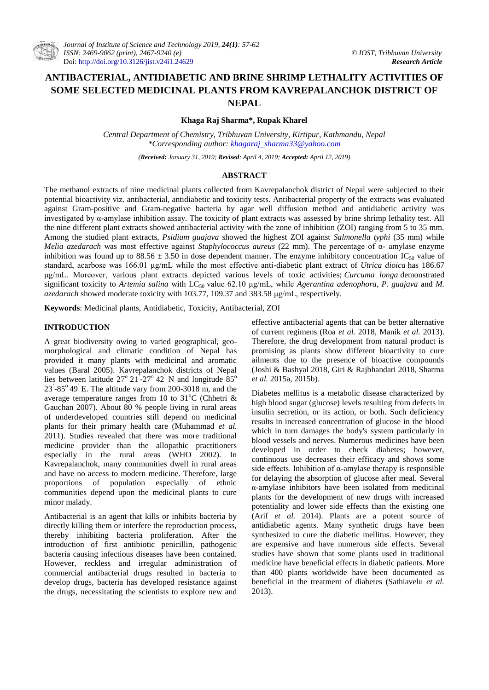# **ANTIBACTERIAL, ANTIDIABETIC AND BRINE SHRIMP LETHALITY ACTIVITIES OF SOME SELECTED MEDICINAL PLANTS FROM KAVREPALANCHOK DISTRICT OF NEPAL**

**Khaga Raj Sharma\*, Rupak Kharel**

*Central Department of Chemistry, Tribhuvan University, Kirtipur, Kathmandu, Nepal \*Corresponding author: khagaraj\_sharma33@yahoo.com*

*(Received: January 31, 2019; Revised: April 4, 2019; Accepted: April 12, 2019)*

## **ABSTRACT**

The methanol extracts of nine medicinal plants collected from Kavrepalanchok district of Nepal were subjected to their potential bioactivity viz. antibacterial, antidiabetic and toxicity tests. Antibacterial property of the extracts was evaluated against Gram-positive and Gram-negative bacteria by agar well diffusion method and antidiabetic activity was investigated by  $\alpha$ -amylase inhibition assay. The toxicity of plant extracts was assessed by brine shrimp lethality test. All the nine different plant extracts showed antibacterial activity with the zone of inhibition (ZOI) ranging from 5 to 35 mm. Among the studied plant extracts, *Psidium guajava* showed the highest ZOI against *Salmonella typhi* (35 mm) while *Melia azedarach* was most effective against *Staphylococcus aureus* (22 mm). The percentage of α- amylase enzyme inhibition was found up to  $88.56 \pm 3.50$  in dose dependent manner. The enzyme inhibitory concentration IC<sub>50</sub> value of standard, acarbose was 166.01 μg/mL while the most effective anti-diabetic plant extract of *Utrica dioica* has 186.67 μg/mL. Moreover, various plant extracts depicted various levels of toxic activities; *Curcuma longa* demonstrated significant toxicity to *Artemia salina* with  $LC_{50}$  value 62.10  $\mu$ g/mL, while *Agerantina adenophora, P. guajava* and *M. azedarach* showed moderate toxicity with 103.77, 109.37 and 383.58 μg/mL, respectively.

**Keywords**: Medicinal plants, Antidiabetic, Toxicity, Antibacterial, ZOI

# **INTRODUCTION**

A great biodiversity owing to varied geographical, geomorphological and climatic condition of Nepal has provided it many plants with medicinal and aromatic values (Baral 2005). Kavrepalanchok districts of Nepal lies between latitude  $27^{\circ} 21^{1} - 27^{\circ} 42^{1}$  N and longitude  $85^{\circ}$  $23^{\degree}$ -85 $^{\degree}$ 49<sup>'</sup> E. The altitude vary from 200-3018 m, and the average temperature ranges from 10 to 31°C (Chhetri  $\&$ Gauchan 2007). About 80 % people living in rural areas of underdeveloped countries still depend on medicinal plants for their primary health care (Muhammad *et al.* 2011). Studies revealed that there was more traditional medicine provider than the allopathic practitioners especially in the rural areas (WHO 2002). In Kavrepalanchok, many communities dwell in rural areas and have no access to modern medicine. Therefore, large proportions of population especially of ethnic communities depend upon the medicinal plants to cure minor malady.

Antibacterial is an agent that kills or inhibits bacteria by directly killing them or interfere the reproduction process, thereby inhibiting bacteria proliferation. After the introduction of first antibiotic penicillin, pathogenic bacteria causing infectious diseases have been contained. However, reckless and irregular administration of commercial antibacterial drugs resulted in bacteria to develop drugs, bacteria has developed resistance against the drugs, necessitating the scientists to explore new and

effective antibacterial agents that can be better alternative of current regimens (Roa *et al.* 2018, Manik *et al.* 2013). Therefore, the drug development from natural product is promising as plants show different bioactivity to cure ailments due to the presence of bioactive compounds (Joshi & Bashyal 2018, Giri & Rajbhandari 2018, Sharma *et al.* 2015a, 2015b).

Diabetes mellitus is a metabolic disease characterized by high blood sugar (glucose) levels resulting from defects in insulin secretion, or its action, or both. Such deficiency results in increased concentration of glucose in the blood which in turn damages the body's system particularly in blood vessels and nerves. Numerous medicines have been developed in order to check diabetes; however, continuous use decreases their efficacy and shows some side effects. Inhibition of  $\alpha$ -amylase therapy is responsible for delaying the absorption of glucose after meal. Several α-amylase inhibitors have been isolated from medicinal plants for the development of new drugs with increased potentiality and lower side effects than the existing one (Arif *et al.* 2014). Plants are a potent source of antidiabetic agents. Many synthetic drugs have been synthesized to cure the diabetic mellitus. However, they are expensive and have numerous side effects. Several studies have shown that some plants used in traditional medicine have beneficial effects in diabetic patients. More than 400 plants worldwide have been documented as beneficial in the treatment of diabetes (Sathiavelu *et al.* 2013).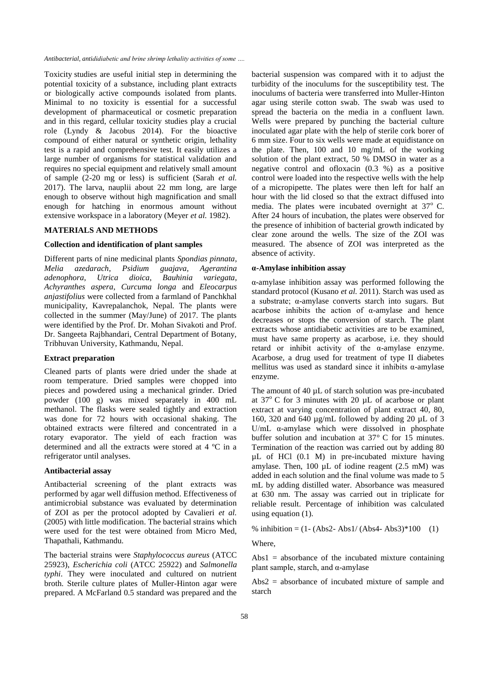*Antibacterial, antididiabetic and brine shrimp lethality activities of some ….* 

Toxicity studies are useful initial step in determining the potential toxicity of a substance, including plant extracts or biologically active compounds isolated from plants. Minimal to no toxicity is essential for a successful development of pharmaceutical or cosmetic preparation and in this regard, cellular toxicity studies play a crucial role (Lyndy & Jacobus 2014). For the bioactive compound of either natural or synthetic origin, lethality test is a rapid and comprehensive test. It easily utilizes a large number of organisms for statistical validation and requires no special equipment and relatively small amount of sample (2-20 mg or less) is sufficient (Sarah *et al.* 2017). The larva, nauplii about 22 mm long, are large enough to observe without high magnification and small enough for hatching in enormous amount without extensive workspace in a laboratory (Meyer *et al.* 1982).

## **MATERIALS AND METHODS**

## **Collection and identification of plant samples**

Different parts of nine medicinal plants *Spondias pinnata*, *Melia azedarach*, *Psidium guajava, Agerantina adenophora*, *Utrica dioica*, *Bauhinia variegata*, *Achyranthes aspera*, *Curcuma longa* and *Eleocarpus anjastifolius* were collected from a farmland of Panchkhal municipality, Kavrepalanchok, Nepal. The plants were collected in the summer (May/June) of 2017. The plants were identified by the Prof. Dr. Mohan Sivakoti and Prof. Dr. Sangeeta Rajbhandari, Central Department of Botany, Tribhuvan University, Kathmandu, Nepal.

#### **Extract preparation**

Cleaned parts of plants were dried under the shade at room temperature. Dried samples were chopped into pieces and powdered using a mechanical grinder. Dried powder (100 g) was mixed separately in 400 mL methanol. The flasks were sealed tightly and extraction was done for 72 hours with occasional shaking. The obtained extracts were filtered and concentrated in a rotary evaporator. The yield of each fraction was determined and all the extracts were stored at 4 ºC in a refrigerator until analyses.

## **Antibacterial assay**

Antibacterial screening of the plant extracts was performed by agar well diffusion method. Effectiveness of antimicrobial substance was evaluated by determination of ZOI as per the protocol adopted by Cavalieri *et al.* (2005) with little modification. The bacterial strains which were used for the test were obtained from Micro Med, Thapathali, Kathmandu.

The bacterial strains were *Staphylococcus aureus* (ATCC 25923), *Escherichia coli* (ATCC 25922) and *Salmonella typhi*. They were inoculated and cultured on nutrient broth. Sterile culture plates of Muller-Hinton agar were prepared. A McFarland 0.5 standard was prepared and the

bacterial suspension was compared with it to adjust the turbidity of the inoculums for the susceptibility test. The inoculums of bacteria were transferred into Muller-Hinton agar using sterile cotton swab. The swab was used to spread the bacteria on the media in a confluent lawn. Wells were prepared by punching the bacterial culture inoculated agar plate with the help of sterile cork borer of 6 mm size. Four to six wells were made at equidistance on the plate. Then, 100 and 10 mg/mL of the working solution of the plant extract, 50 % DMSO in water as a negative control and ofloxacin (0.3 %) as a positive control were loaded into the respective wells with the help of a micropipette. The plates were then left for half an hour with the lid closed so that the extract diffused into media. The plates were incubated overnight at  $37^\circ$  C. After 24 hours of incubation, the plates were observed for the presence of inhibition of bacterial growth indicated by clear zone around the wells. The size of the ZOI was measured. The absence of ZOI was interpreted as the absence of activity.

#### **α-Amylase inhibition assay**

α-amylase inhibition assay was performed following the standard protocol (Kusano *et al.* 2011). Starch was used as a substrate; α-amylase converts starch into sugars. But acarbose inhibits the action of  $\alpha$ -amylase and hence decreases or stops the conversion of starch. The plant extracts whose antidiabetic activities are to be examined, must have same property as acarbose, i.e. they should retard or inhibit activity of the α-amylase enzyme. Acarbose, a drug used for treatment of type II diabetes mellitus was used as standard since it inhibits  $\alpha$ -amylase enzyme.

The amount of 40 µL of starch solution was pre-incubated at  $37^{\circ}$  C for 3 minutes with 20 uL of acarbose or plant extract at varying concentration of plant extract 40, 80, 160, 320 and 640  $\mu$ g/mL followed by adding 20  $\mu$ L of 3 U/mL α-amylase which were dissolved in phosphate buffer solution and incubation at 37° C for 15 minutes. Termination of the reaction was carried out by adding 80 µL of HCl (0.1 M) in pre-incubated mixture having amylase. Then,  $100 \mu L$  of iodine reagent (2.5 mM) was added in each solution and the final volume was made to 5 mL by adding distilled water. Absorbance was measured at 630 nm. The assay was carried out in triplicate for reliable result. Percentage of inhibition was calculated using equation (1).

% inhibition =  $(1 - (Abs2 - Abs1/(Abs4 - Abs3)*100)$  (1)

Where,

Abs $1 =$  absorbance of the incubated mixture containing plant sample, starch, and  $α$ -amylase

Abs2 = absorbance of incubated mixture of sample and starch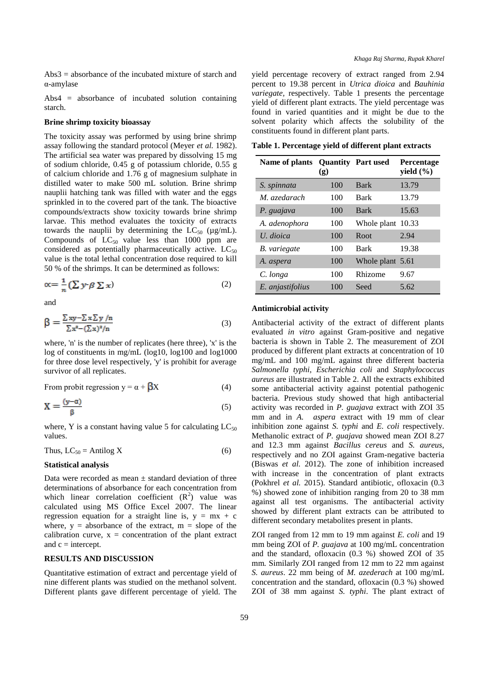Abs3 = absorbance of the incubated mixture of starch and α-amylase

Abs4 = absorbance of incubated solution containing starch.

# **Brine shrimp toxicity bioassay**

The toxicity assay was performed by using brine shrimp assay following the standard protocol (Meyer *et al.* 1982). The artificial sea water was prepared by dissolving 15 mg of sodium chloride, 0.45 g of potassium chloride, 0.55 g of calcium chloride and 1.76 g of magnesium sulphate in distilled water to make 500 mL solution. Brine shrimp nauplii hatching tank was filled with water and the eggs sprinkled in to the covered part of the tank. The bioactive compounds/extracts show toxicity towards brine shrimp larvae. This method evaluates the toxicity of extracts towards the nauplii by determining the  $LC_{50}$  ( $\mu$ g/mL). Compounds of  $LC_{50}$  value less than 1000 ppm are considered as potentially pharmaceutically active.  $LC_{50}$ value is the total lethal concentration dose required to kill 50 % of the shrimps. It can be determined as follows:

$$
\alpha = \frac{1}{n} \left( \sum y \cdot \beta \sum x \right) \tag{2}
$$

and

$$
\beta = \frac{\sum xy - \sum x \sum y / n}{\sum x^2 - (\sum x)^2 / n}
$$
 (3)

where, 'n' is the number of replicates (here three), 'x' is the log of constituents in mg/mL (log10, log100 and log1000 for three dose level respectively, 'y' is prohibit for average survivor of all replicates.

From probit regression  $y = \alpha + \beta X$  (4)

$$
X = \frac{(y - \alpha)}{\beta} \tag{5}
$$

where, Y is a constant having value 5 for calculating  $LC_{50}$ values.

Thus, 
$$
LC_{50} =
$$
 Antilog X (6)

## **Statistical analysis**

Data were recorded as mean  $\pm$  standard deviation of three determinations of absorbance for each concentration from which linear correlation coefficient  $(R^2)$  value was calculated using MS Office Excel 2007. The linear regression equation for a straight line is,  $y = mx + c$ where,  $y =$  absorbance of the extract,  $m =$  slope of the calibration curve,  $x =$  concentration of the plant extract and  $c =$  intercept.

#### **RESULTS AND DISCUSSION**

Quantitative estimation of extract and percentage yield of nine different plants was studied on the methanol solvent. Different plants gave different percentage of yield. The

yield percentage recovery of extract ranged from 2.94 percent to 19.38 percent in *Utrica dioica* and *Bauhinia variegate,* respectively. Table 1 presents the percentage yield of different plant extracts. The yield percentage was found in varied quantities and it might be due to the solvent polarity which affects the solubility of the constituents found in different plant parts.

**Table 1. Percentage yield of different plant extracts**

| Name of plants Quantity Part used | (g) |                   | Percentage<br>yield $(\% )$ |
|-----------------------------------|-----|-------------------|-----------------------------|
| S. spinnata                       | 100 | <b>Bark</b>       | 13.79                       |
| M. azedarach                      | 100 | <b>Bark</b>       | 13.79                       |
| P. guajava                        | 100 | <b>Bark</b>       | 15.63                       |
| A. adenophora                     | 100 | Whole plant 10.33 |                             |
| U. dioica                         | 100 | Root              | 2.94                        |
| B. variegate                      | 100 | <b>Bark</b>       | 19.38                       |
| A. aspera                         | 100 | Whole plant 5.61  |                             |
| C. longa                          | 100 | Rhizome           | 9.67                        |
| E. anjastifolius                  | 100 | Seed              | 5.62                        |

#### **Antimicrobial activity**

Antibacterial activity of the extract of different plants evaluated *in vitro* against Gram-positive and negative bacteria is shown in Table 2. The measurement of ZOI produced by different plant extracts at concentration of 10 mg/mL and 100 mg/mL against three different bacteria *Salmonella typhi*, *Escherichia coli* and *Staphylococcus aureus* are illustrated in Table 2. All the extracts exhibited some antibacterial activity against potential pathogenic bacteria. Previous study showed that high antibacterial activity was recorded in *P. guajava* extract with ZOI 35 mm and in *A. aspera* extract with 19 mm of clear inhibition zone against *S. typhi* and *E. coli* respectively. Methanolic extract of *P. guajava* showed mean ZOI 8.27 and 12.3 mm against *Bacillus cereus* and *S. aureus*, respectively and no ZOI against Gram-negative bacteria (Biswas *et al.* 2012). The zone of inhibition increased with increase in the concentration of plant extracts (Pokhrel *et al.* 2015). Standard antibiotic, ofloxacin (0.3 %) showed zone of inhibition ranging from 20 to 38 mm against all test organisms. The antibacterial activity showed by different plant extracts can be attributed to different secondary metabolites present in plants.

ZOI ranged from 12 mm to 19 mm against *E. coli* and 19 mm being ZOI of *P. guajava* at 100 mg/mL concentration and the standard, ofloxacin (0.3 %) showed ZOI of 35 mm*.* Similarly ZOI ranged from 12 mm to 22 mm against *S. aureus*. 22 mm being of *M. azederach* at 100 mg/mL concentration and the standard, ofloxacin (0.3 %) showed ZOI of 38 mm against *S. typhi*. The plant extract of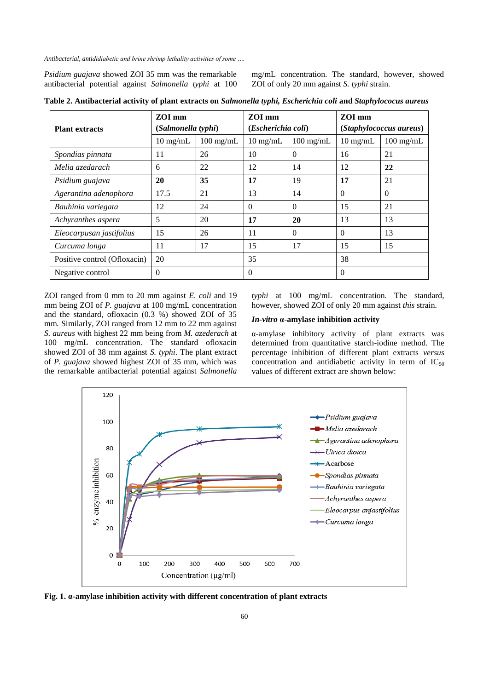*Antibacterial, antididiabetic and brine shrimp lethality activities of some ….* 

*Psidium guajava* showed ZOI 35 mm was the remarkable antibacterial potential against *Salmonella typhi* at 100 mg/mL concentration. The standard, however, showed ZOI of only 20 mm against *S. typhi* strain.

**Table 2. Antibacterial activity of plant extracts on** *Salmonella typhi, Escherichia coli* **and** *Staphylococus aureus*

| <b>Plant extracts</b>        | ZOI mm<br>(Salmonella typhi) |                     | ZOI mm<br>(Escherichia coli) |             | ZOI mm<br>(Staphylococcus aureus) |             |
|------------------------------|------------------------------|---------------------|------------------------------|-------------|-----------------------------------|-------------|
|                              | $10 \text{ mg/mL}$           | $100 \text{ mg/mL}$ | $10 \text{ mg/mL}$           | $100$ mg/mL | $10 \text{ mg/mL}$                | $100$ mg/mL |
| Spondias pinnata             | 11                           | 26                  | 10                           | $\Omega$    | 16                                | 21          |
| Melia azedarach              | 6                            | 22                  | 12                           | 14          | 12                                | 22          |
| Psidium guajava              | 20                           | 35                  | 17                           | 19          | 17                                | 21          |
| Agerantina adenophora        | 17.5                         | 21                  | 13                           | 14          | $\Omega$                          | $\Omega$    |
| Bauhinia variegata           | 12                           | 24                  | $\Omega$                     | $\Omega$    | 15                                | 21          |
| Achyranthes aspera           | 5                            | 20                  | 17                           | 20          | 13                                | 13          |
| Eleocarpusan jastifolius     | 15                           | 26                  | 11                           | $\Omega$    | $\Omega$                          | 13          |
| Curcuma longa                | 11                           | 17                  | 15                           | 17          | 15                                | 15          |
| Positive control (Ofloxacin) | 20                           |                     | 35                           |             | 38                                |             |
| Negative control             | $\theta$                     |                     | $\Omega$                     |             | $\Omega$                          |             |

ZOI ranged from 0 mm to 20 mm against *E. coli* and 19 mm being ZOI of *P. guajava* at 100 mg/mL concentration and the standard, ofloxacin (0.3 %) showed ZOI of 35 mm. Similarly, ZOI ranged from 12 mm to 22 mm against *S. aureus* with highest 22 mm being from *M. azederach* at 100 mg/mL concentration. The standard ofloxacin showed ZOI of 38 mm against *S. typhi*. The plant extract of *P. guajava* showed highest ZOI of 35 mm, which was the remarkable antibacterial potential against *Salmonella* 

*typhi* at 100 mg/mL concentration. The standard, however, showed ZOI of only 20 mm against *this* strain.

# *In-vitro* **α-amylase inhibition activity**

α-amylase inhibitory activity of plant extracts was determined from quantitative starch-iodine method. The percentage inhibition of different plant extracts *versus* concentration and antidiabetic activity in term of  $IC_{50}$ values of different extract are shown below:



**Fig. 1. α-amylase inhibition activity with different concentration of plant extracts**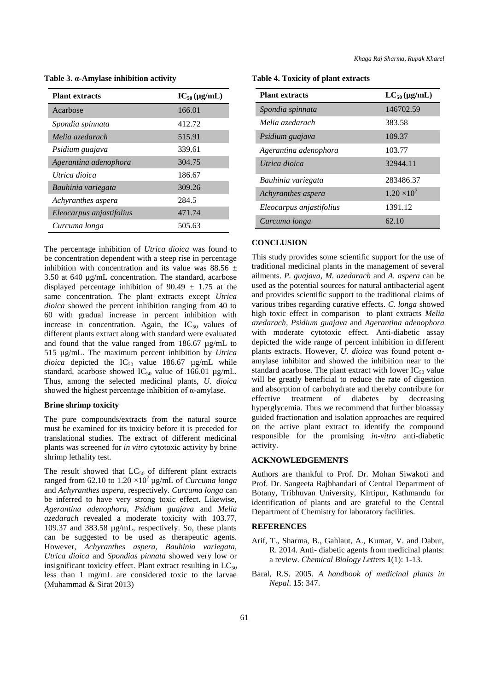| <b>Plant extracts</b>    | $IC_{50}(\mu g/mL)$ |
|--------------------------|---------------------|
| Acarbose                 | 166.01              |
| Spondia spinnata         | 412.72              |
| Melia azedarach          | 515.91              |
| Psidium guajava          | 339.61              |
| Agerantina adenophora    | 304.75              |
| Utrica dioica            | 186.67              |
| Bauhinia variegata       | 309.26              |
| Achyranthes aspera       | 284.5               |
| Eleocarpus anjastifolius | 471.74              |
| Curcuma longa            | 505.63              |

**Table 3. α-Amylase inhibition activity**

The percentage inhibition of *Utrica dioica* was found to be concentration dependent with a steep rise in percentage inhibition with concentration and its value was 88.56  $\pm$ 3.50 at 640 µg/mL concentration. The standard, acarbose displayed percentage inhibition of  $90.49 \pm 1.75$  at the same concentration. The plant extracts except *Utrica dioica* showed the percent inhibition ranging from 40 to 60 with gradual increase in percent inhibition with increase in concentration. Again, the  $IC_{50}$  values of different plants extract along with standard were evaluated and found that the value ranged from 186.67 µg/mL to 515 µg/mL. The maximum percent inhibition by *Utrica dioica* depicted the  $IC_{50}$  value 186.67  $\mu$ g/mL while standard, acarbose showed  $IC_{50}$  value of 166.01 µg/mL. Thus, among the selected medicinal plants, *U. dioica*  showed the highest percentage inhibition of  $\alpha$ -amylase.

## **Brine shrimp toxicity**

The pure compounds/extracts from the natural source must be examined for its toxicity before it is preceded for translational studies. The extract of different medicinal plants was screened for *in vitro* cytotoxic activity by brine shrimp lethality test.

The result showed that  $LC_{50}$  of different plant extracts ranged from 62.10 to  $1.20 \times 10^7$  µg/mL of *Curcuma longa* and *Achyranthes aspera*, respectively. *Curcuma longa* can be inferred to have very strong toxic effect. Likewise, *Agerantina adenophora, Psidium guajava* and *Melia azedarach* revealed a moderate toxicity with 103.77, 109.37 and 383.58 µg/mL, respectively. So, these plants can be suggested to be used as therapeutic agents. However, *Achyranthes aspera, Bauhinia variegata, Utrica dioica* and *Spondias pinnata* showed very low or insignificant toxicity effect. Plant extract resulting in  $LC_{50}$ less than 1 mg/mL are considered toxic to the larvae (Muhammad & Sirat 2013)

| <b>Plant extracts</b>    | $LC_{50}$ (µg/mL)  |
|--------------------------|--------------------|
| Spondia spinnata         | 146702.59          |
| Melia azedarach          | 383.58             |
| Psidium guajava          | 109.37             |
| Agerantina adenophora    | 103.77             |
| Utrica dioica            | 32944.11           |
| Bauhinia variegata       | 283486.37          |
| Achyranthes aspera       | $1.20 \times 10^7$ |
| Eleocarpus anjastifolius | 1391.12            |
| Curcuma longa            | 62.10              |

#### **CONCLUSION**

This study provides some scientific support for the use of traditional medicinal plants in the management of several ailments. *P. guajava*, *M. azedarach* and *A. aspera* can be used as the potential sources for natural antibacterial agent and provides scientific support to the traditional claims of various tribes regarding curative effects. *C. longa* showed high toxic effect in comparison to plant extracts *Melia azedarach, Psidium guajava* and *Agerantina adenophora*  with moderate cytotoxic effect. Anti-diabetic assay depicted the wide range of percent inhibition in different plants extracts. However, *U. dioica* was found potent αamylase inhibitor and showed the inhibition near to the standard acarbose. The plant extract with lower  $IC_{50}$  value will be greatly beneficial to reduce the rate of digestion and absorption of carbohydrate and thereby contribute for effective treatment of diabetes by decreasing hyperglycemia. Thus we recommend that further bioassay guided fractionation and isolation approaches are required on the active plant extract to identify the compound responsible for the promising *in-vitro* anti-diabetic activity.

#### **ACKNOWLEDGEMENTS**

Authors are thankful to Prof. Dr. Mohan Siwakoti and Prof. Dr. Sangeeta Rajbhandari of Central Department of Botany, Tribhuvan University, Kirtipur, Kathmandu for identification of plants and are grateful to the Central Department of Chemistry for laboratory facilities.

#### **REFERENCES**

- Arif, T., Sharma, B., Gahlaut, A., Kumar, V. and Dabur, R. 2014. Anti- diabetic agents from medicinal plants: a review. *Chemical Biology Lett*ers **1**(1): 1-13.
- Baral, R.S. 2005. *A handbook of medicinal plants in Nepal*. **15**: 347.